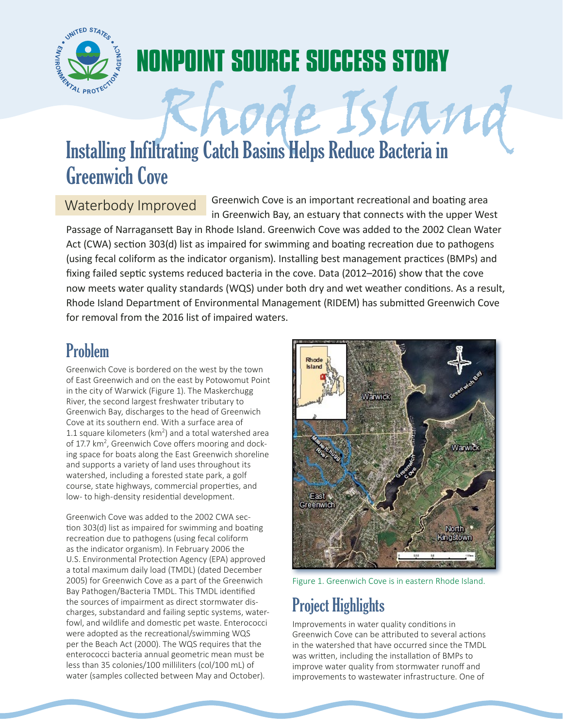

# **NONPOINT SOURCE SUCCESS STORY Rhode Island Island Island Island Island Island Island Island Island Island Island Island Island Island Island Island Island Island Island Island Island Island Island Island Island Island Island Island Island Island Islan**

## Greenwich Cove

Waterbody Improved Greenwich Cove is an important recreational and boating area in Greenwich Bay, an estuary that connects with the upper West

Passage of Narragansett Bay in Rhode Island. Greenwich Cove was added to the 2002 Clean Water Act (CWA) section 303(d) list as impaired for swimming and boating recreation due to pathogens (using fecal coliform as the indicator organism). Installing best management practices (BMPs) and fixing failed septic systems reduced bacteria in the cove. Data (2012–2016) show that the cove now meets water quality standards (WQS) under both dry and wet weather conditions. As a result, Rhode Island Department of Environmental Management (RIDEM) has submitted Greenwich Cove for removal from the 2016 list of impaired waters.

### Problem

Greenwich Cove is bordered on the west by the town of East Greenwich and on the east by Potowomut Point in the city of Warwick (Figure 1). The Maskerchugg River, the second largest freshwater tributary to Greenwich Bay, discharges to the head of Greenwich Cove at its southern end. With a surface area of 1.1 square kilometers ( $km<sup>2</sup>$ ) and a total watershed area of 17.7 km<sup>2</sup>, Greenwich Cove offers mooring and docking space for boats along the East Greenwich shoreline and supports a variety of land uses throughout its watershed, including a forested state park, a golf course, state highways, commercial properties, and low- to high-density residential development.

Greenwich Cove was added to the 2002 CWA section 303(d) list as impaired for swimming and boating recreation due to pathogens (using fecal coliform as the indicator organism). In February 2006 the U.S. Environmental Protection Agency (EPA) approved a total maximum daily load (TMDL) (dated December 2005) for Greenwich Cove as a part of the Greenwich Bay Pathogen/Bacteria TMDL. This TMDL identified the sources of impairment as direct stormwater discharges, substandard and failing septic systems, waterfowl, and wildlife and domestic pet waste. Enterococci were adopted as the recreational/swimming WQS per the Beach Act (2000). The WQS requires that the enterococci bacteria annual geometric mean must be less than 35 colonies/100 milliliters (col/100 mL) of water (samples collected between May and October).



Figure 1. Greenwich Cove is in eastern Rhode Island.

## Project Highlights

Improvements in water quality conditions in Greenwich Cove can be attributed to several actions in the watershed that have occurred since the TMDL was written, including the installation of BMPs to improve water quality from stormwater runoff and improvements to wastewater infrastructure. One of